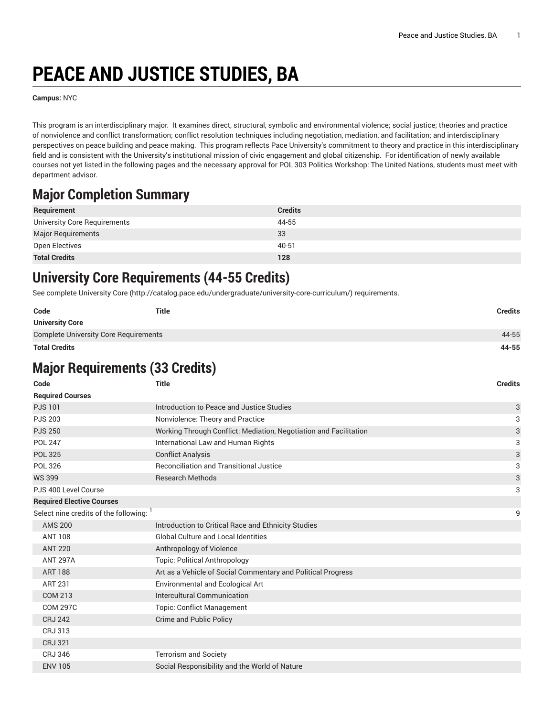# **PEACE AND JUSTICE STUDIES, BA**

**Campus:** NYC

This program is an interdisciplinary major. It examines direct, structural, symbolic and environmental violence; social justice; theories and practice of nonviolence and conflict transformation; conflict resolution techniques including negotiation, mediation, and facilitation; and interdisciplinary perspectives on peace building and peace making. This program reflects Pace University's commitment to theory and practice in this interdisciplinary field and is consistent with the University's institutional mission of civic engagement and global citizenship. For identification of newly available courses not yet listed in the following pages and the necessary approval for POL 303 Politics Workshop: The United Nations, students must meet with department advisor.

## **Major Completion Summary**

| Requirement                  | <b>Credits</b> |
|------------------------------|----------------|
| University Core Requirements | 44-55          |
| Major Requirements           | 33             |
| Open Electives               | 40-51          |
| <b>Total Credits</b>         | 128            |

#### **University Core Requirements (44-55 Credits)**

See complete [University](http://catalog.pace.edu/undergraduate/university-core-curriculum/) Core (<http://catalog.pace.edu/undergraduate/university-core-curriculum/>) requirements.

| Code                                         | Title | Credits |
|----------------------------------------------|-------|---------|
| <b>University Core</b>                       |       |         |
| <b>Complete University Core Requirements</b> |       | 44-55   |
| <b>Total Credits</b>                         |       | 44-55   |

## **Major Requirements (33 Credits)**

| Code                                  | <b>Title</b>                                                      | <b>Credits</b> |
|---------------------------------------|-------------------------------------------------------------------|----------------|
| <b>Required Courses</b>               |                                                                   |                |
| <b>PJS101</b>                         | Introduction to Peace and Justice Studies                         | 3              |
| <b>PJS 203</b>                        | Nonviolence: Theory and Practice                                  | 3              |
| <b>PJS 250</b>                        | Working Through Conflict: Mediation, Negotiation and Facilitation | $\sqrt{3}$     |
| <b>POL 247</b>                        | International Law and Human Rights                                | 3              |
| <b>POL 325</b>                        | <b>Conflict Analysis</b>                                          | $\sqrt{3}$     |
| <b>POL 326</b>                        | <b>Reconciliation and Transitional Justice</b>                    | 3              |
| <b>WS 399</b>                         | <b>Research Methods</b>                                           | $\sqrt{3}$     |
| PJS 400 Level Course                  |                                                                   | 3              |
| <b>Required Elective Courses</b>      |                                                                   |                |
| Select nine credits of the following: |                                                                   | 9              |
| <b>AMS 200</b>                        | Introduction to Critical Race and Ethnicity Studies               |                |
| <b>ANT 108</b>                        | <b>Global Culture and Local Identities</b>                        |                |
| <b>ANT 220</b>                        | Anthropology of Violence                                          |                |
| <b>ANT 297A</b>                       | <b>Topic: Political Anthropology</b>                              |                |
| <b>ART 188</b>                        | Art as a Vehicle of Social Commentary and Political Progress      |                |
| <b>ART 231</b>                        | <b>Environmental and Ecological Art</b>                           |                |
| <b>COM 213</b>                        | Intercultural Communication                                       |                |
| <b>COM 297C</b>                       | <b>Topic: Conflict Management</b>                                 |                |
| <b>CRJ 242</b>                        | Crime and Public Policy                                           |                |
| CRJ 313                               |                                                                   |                |
| <b>CRJ 321</b>                        |                                                                   |                |
| <b>CRJ 346</b>                        | <b>Terrorism and Society</b>                                      |                |
| <b>ENV 105</b>                        | Social Responsibility and the World of Nature                     |                |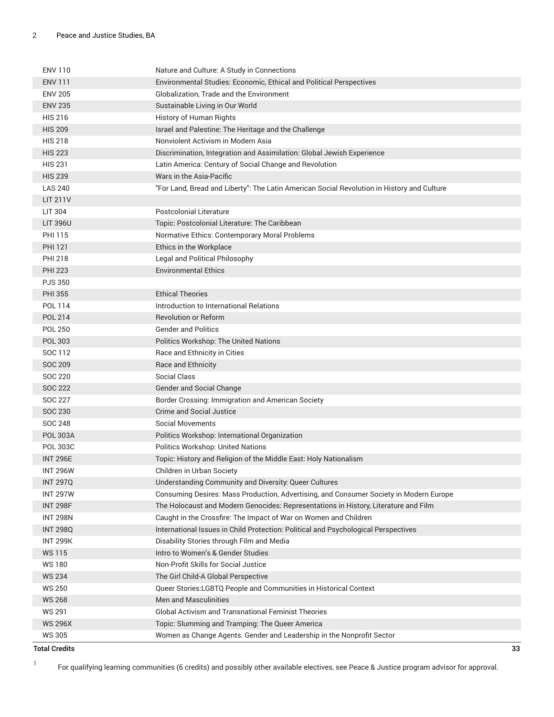| <b>ENV 110</b>  | Nature and Culture: A Study in Connections                                                 |
|-----------------|--------------------------------------------------------------------------------------------|
| <b>ENV 111</b>  | Environmental Studies: Economic, Ethical and Political Perspectives                        |
| <b>ENV 205</b>  | Globalization, Trade and the Environment                                                   |
| <b>ENV 235</b>  | Sustainable Living in Our World                                                            |
| <b>HIS 216</b>  | History of Human Rights                                                                    |
| <b>HIS 209</b>  | Israel and Palestine: The Heritage and the Challenge                                       |
| <b>HIS 218</b>  | Nonviolent Activism in Modern Asia                                                         |
| <b>HIS 223</b>  | Discrimination, Integration and Assimilation: Global Jewish Experience                     |
| <b>HIS 231</b>  | Latin America: Century of Social Change and Revolution                                     |
| <b>HIS 239</b>  | Wars in the Asia-Pacific                                                                   |
| <b>LAS 240</b>  | "For Land, Bread and Liberty": The Latin American Social Revolution in History and Culture |
| LIT 211V        |                                                                                            |
| <b>LIT 304</b>  | <b>Postcolonial Literature</b>                                                             |
| <b>LIT 396U</b> | Topic: Postcolonial Literature: The Caribbean                                              |
| PHI 115         | Normative Ethics: Contemporary Moral Problems                                              |
| <b>PHI 121</b>  | Ethics in the Workplace                                                                    |
| <b>PHI 218</b>  | Legal and Political Philosophy                                                             |
| <b>PHI 223</b>  | <b>Environmental Ethics</b>                                                                |
| <b>PJS 350</b>  |                                                                                            |
| <b>PHI 355</b>  | <b>Ethical Theories</b>                                                                    |
| POL 114         | Introduction to International Relations                                                    |
| <b>POL 214</b>  | <b>Revolution or Reform</b>                                                                |
| <b>POL 250</b>  | <b>Gender and Politics</b>                                                                 |
| POL 303         | Politics Workshop: The United Nations                                                      |
| SOC 112         | Race and Ethnicity in Cities                                                               |
| SOC 209         | <b>Race and Ethnicity</b>                                                                  |
| <b>SOC 220</b>  | Social Class                                                                               |
| <b>SOC 222</b>  | Gender and Social Change                                                                   |
| SOC 227         | Border Crossing: Immigration and American Society                                          |
| <b>SOC 230</b>  | <b>Crime and Social Justice</b>                                                            |
| SOC 248         | <b>Social Movements</b>                                                                    |
| <b>POL 303A</b> | Politics Workshop: International Organization                                              |
| <b>POL 303C</b> | Politics Workshop: United Nations                                                          |
| <b>INT 296E</b> | Topic: History and Religion of the Middle East: Holy Nationalism                           |
| <b>INT 296W</b> | Children in Urban Society                                                                  |
| <b>INT 297Q</b> | Understanding Community and Diversity: Queer Cultures                                      |
| <b>INT 297W</b> | Consuming Desires: Mass Production, Advertising, and Consumer Society in Modern Europe     |
| <b>INT 298F</b> | The Holocaust and Modern Genocides: Representations in History, Literature and Film        |
| <b>INT 298N</b> | Caught in the Crossfire: The Impact of War on Women and Children                           |
| <b>INT 298Q</b> | International Issues in Child Protection: Political and Psychological Perspectives         |
| <b>INT 299K</b> | Disability Stories through Film and Media                                                  |
| <b>WS115</b>    | Intro to Women's & Gender Studies<br>Non-Profit Skills for Social Justice                  |
| <b>WS180</b>    |                                                                                            |
| <b>WS 234</b>   | The Girl Child-A Global Perspective                                                        |
| <b>WS 250</b>   | Queer Stories: LGBTQ People and Communities in Historical Context                          |
| <b>WS 268</b>   | Men and Masculinities                                                                      |
| <b>WS 291</b>   | <b>Global Activism and Transnational Feminist Theories</b>                                 |
| <b>WS 296X</b>  | Topic: Slumming and Tramping: The Queer America                                            |
| <b>WS 305</b>   | Women as Change Agents: Gender and Leadership in the Nonprofit Sector                      |

**Total Credits 33**

1

For qualifying learning communities (6 credits) and possibly other available electives, see Peace & Justice program advisor for approval.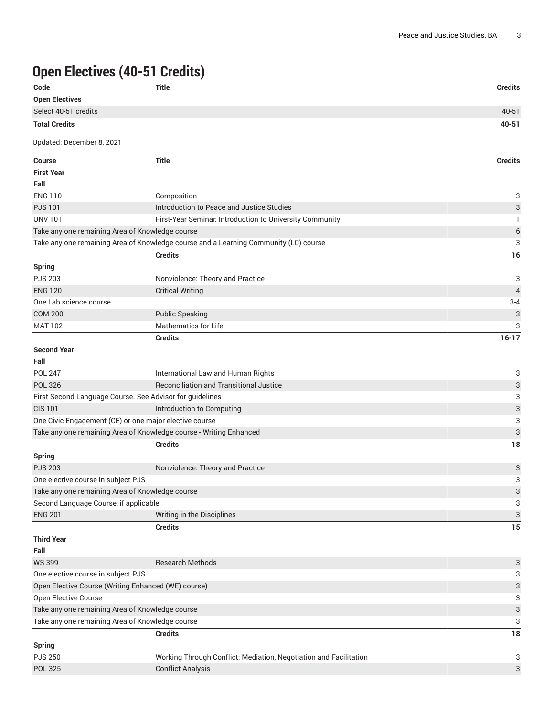# **Open Electives (40-51 Credits)**

| Code                                                               | <b>Title</b>                                                                         | <b>Credits</b>            |
|--------------------------------------------------------------------|--------------------------------------------------------------------------------------|---------------------------|
| <b>Open Electives</b>                                              |                                                                                      |                           |
| Select 40-51 credits                                               |                                                                                      | 40-51                     |
| <b>Total Credits</b>                                               |                                                                                      | 40-51                     |
| Updated: December 8, 2021                                          |                                                                                      |                           |
| <b>Course</b>                                                      | <b>Title</b>                                                                         | <b>Credits</b>            |
| <b>First Year</b>                                                  |                                                                                      |                           |
| Fall                                                               |                                                                                      |                           |
| <b>ENG 110</b>                                                     | Composition                                                                          | 3                         |
| <b>PJS101</b>                                                      | Introduction to Peace and Justice Studies                                            | 3                         |
| <b>UNV 101</b>                                                     | First-Year Seminar. Introduction to University Community                             | 1                         |
| Take any one remaining Area of Knowledge course                    |                                                                                      | $6\phantom{1}6$           |
|                                                                    | Take any one remaining Area of Knowledge course and a Learning Community (LC) course | 3                         |
|                                                                    | <b>Credits</b>                                                                       | 16                        |
| <b>Spring</b>                                                      |                                                                                      |                           |
| <b>PJS 203</b>                                                     | Nonviolence: Theory and Practice                                                     | 3                         |
| <b>ENG 120</b>                                                     | <b>Critical Writing</b>                                                              | $\overline{4}$            |
| One Lab science course                                             |                                                                                      | $3 - 4$                   |
| <b>COM 200</b>                                                     | <b>Public Speaking</b>                                                               | 3                         |
| <b>MAT 102</b>                                                     | <b>Mathematics for Life</b>                                                          | 3                         |
|                                                                    | <b>Credits</b>                                                                       | $16-17$                   |
| <b>Second Year</b>                                                 |                                                                                      |                           |
| Fall                                                               |                                                                                      |                           |
| <b>POL 247</b>                                                     | International Law and Human Rights                                                   | 3                         |
| <b>POL 326</b>                                                     | Reconciliation and Transitional Justice                                              | $\sqrt{3}$                |
| First Second Language Course. See Advisor for guidelines           |                                                                                      | 3                         |
| <b>CIS 101</b>                                                     | Introduction to Computing                                                            | $\ensuremath{\mathsf{3}}$ |
| One Civic Engagement (CE) or one major elective course             |                                                                                      | 3                         |
| Take any one remaining Area of Knowledge course - Writing Enhanced |                                                                                      | 3                         |
|                                                                    | <b>Credits</b>                                                                       | 18                        |
| <b>Spring</b>                                                      |                                                                                      |                           |
| <b>PJS 203</b>                                                     | Nonviolence: Theory and Practice                                                     | 3                         |
| One elective course in subject PJS                                 |                                                                                      | 3                         |
| Take any one remaining Area of Knowledge course                    |                                                                                      | 3                         |
| Second Language Course, if applicable                              |                                                                                      | 3                         |
| <b>ENG 201</b>                                                     | Writing in the Disciplines                                                           | 3                         |
|                                                                    | <b>Credits</b>                                                                       | 15                        |
| <b>Third Year</b>                                                  |                                                                                      |                           |
| Fall                                                               |                                                                                      |                           |
| <b>WS 399</b>                                                      | <b>Research Methods</b>                                                              | 3                         |
| One elective course in subject PJS                                 |                                                                                      | 3                         |
| Open Elective Course (Writing Enhanced (WE) course)                |                                                                                      | 3                         |
| Open Elective Course                                               |                                                                                      | 3                         |
| Take any one remaining Area of Knowledge course                    |                                                                                      | $\ensuremath{\mathsf{3}}$ |
| Take any one remaining Area of Knowledge course                    |                                                                                      | 3                         |
|                                                                    | <b>Credits</b>                                                                       | 18                        |
|                                                                    |                                                                                      |                           |
| <b>Spring</b><br><b>PJS 250</b>                                    | Working Through Conflict: Mediation, Negotiation and Facilitation                    | 3                         |
| <b>POL 325</b>                                                     | <b>Conflict Analysis</b>                                                             | 3                         |
|                                                                    |                                                                                      |                           |